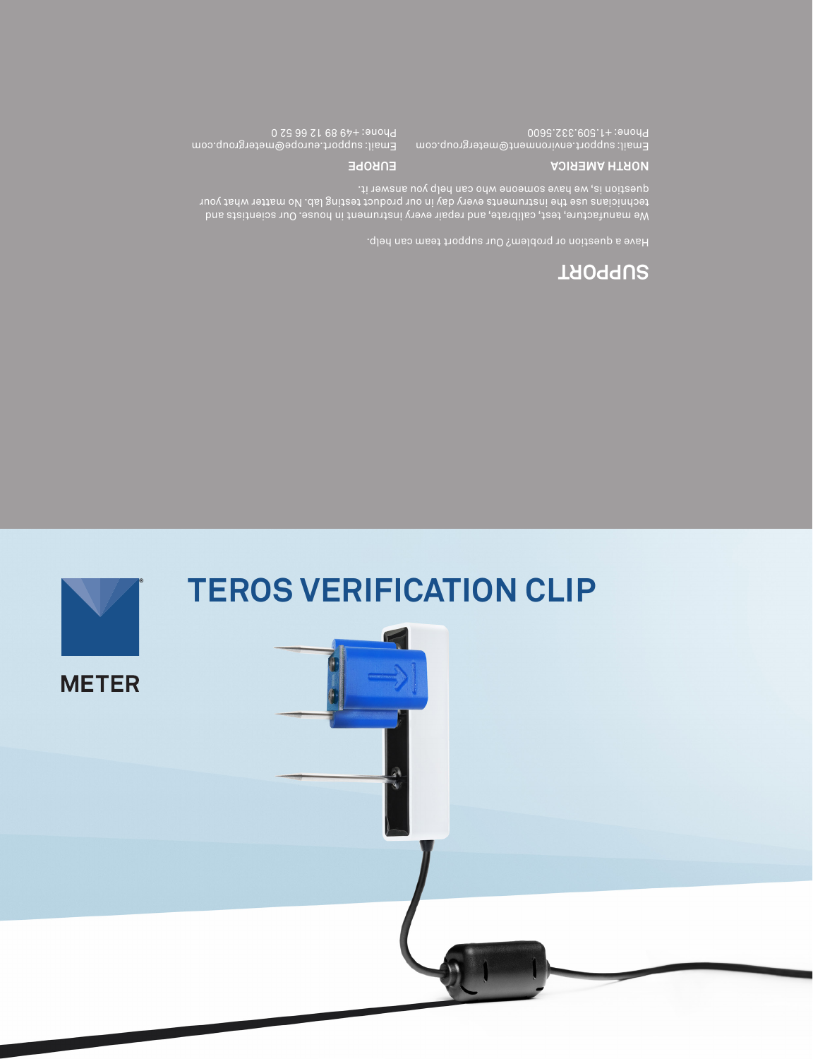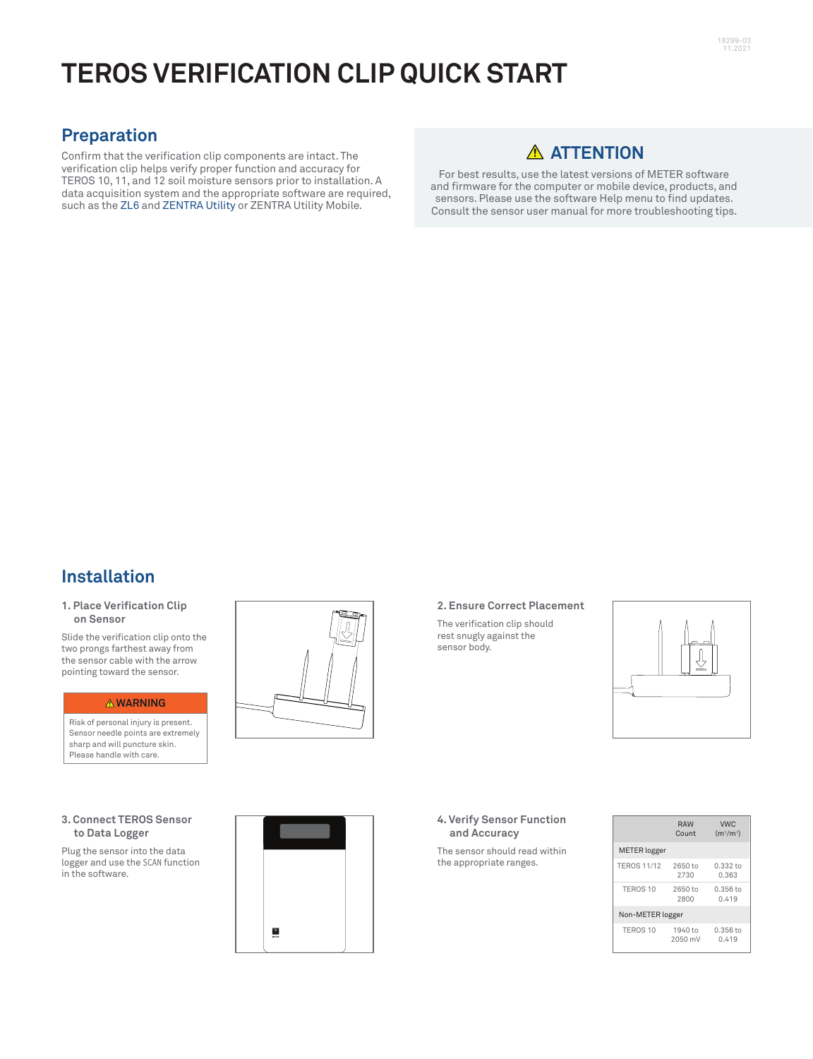# **TEROS VERIFICATION CLIP QUICK START**

# **Preparation**

Confirm that the verification clip components are intact. The verification clip helps verify proper function and accuracy for TEROS 10, 11, and 12 soil moisture sensors prior to installation. A data acquisition system and the appropriate software are required, such as the [ZL6](https://www.metergroup.com/environment/products/zl6/) and ZENTRA [Utility](http://software.metergroup.com/ZENTRAUtilityInstaller.exe) or ZENTRA Utility Mobile.

# **ATTENTION**

For best results, use the latest versions of METER software and firmware for the computer or mobile device, products, and sensors. Please use the software Help menu to find updates. Consult the sensor user manual for more troubleshooting tips.

# **Installation**

### **1. Place Verification Clip on Sensor**

Slide the verification clip onto the two prongs farthest away from the sensor cable with the arrow pointing toward the sensor.

#### **WARNING**

Risk of personal injury is present. Sensor needle points are extremely sharp and will puncture skin. Please handle with care.

## **3. Connect TEROS Sensor to Data Logger**

Plug the sensor into the data logger and use the SCAN function in the software.



## **2. Ensure Correct Placement**

The verification clip should rest snugly against the sensor body.



#### **4. Verify Sensor Function and Accuracy**

The sensor should read within the appropriate ranges.

|                     | <b>RAW</b><br>Count | <b>VWC</b><br>$(m^{3}/m^{3})$ |
|---------------------|---------------------|-------------------------------|
| <b>METER</b> logger |                     |                               |
| <b>TEROS 11/12</b>  | 2650 to<br>2730     | $0.332$ to<br>0.363           |
| TEROS <sub>10</sub> | 2650 to<br>2800     | $0.356$ to<br>0.419           |
| Non-METER logger    |                     |                               |
| TEROS <sub>10</sub> | 1940 to<br>2050 mV  | $0.356$ to<br>0.419           |